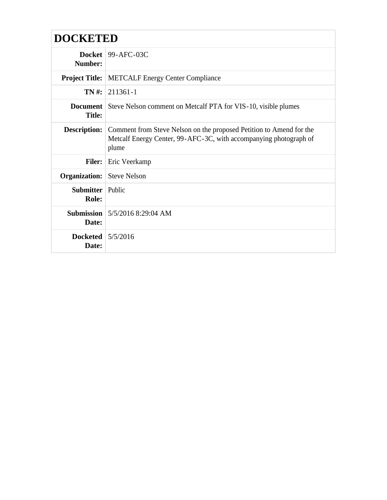| <b>DOCKETED</b> |
|-----------------|
|-----------------|

| Number:                          | Docket   $99-$ AFC-03C                                                                                                                            |
|----------------------------------|---------------------------------------------------------------------------------------------------------------------------------------------------|
| <b>Project Title:</b>            | <b>METCALF Energy Center Compliance</b>                                                                                                           |
| TN#:                             | 211361-1                                                                                                                                          |
| <b>Title:</b>                    | <b>Document</b>   Steve Nelson comment on Metcalf PTA for VIS-10, visible plumes                                                                  |
| <b>Description:</b>              | Comment from Steve Nelson on the proposed Petition to Amend for the<br>Metcalf Energy Center, 99-AFC-3C, with accompanying photograph of<br>plume |
| <b>Filer:</b>                    | Eric Veerkamp                                                                                                                                     |
| Organization:                    | <b>Steve Nelson</b>                                                                                                                               |
| <b>Submitter</b> Public<br>Role: |                                                                                                                                                   |
| Date:                            | <b>Submission</b>   5/5/2016 8:29:04 AM                                                                                                           |
| Docketed $5/5/2016$<br>Date:     |                                                                                                                                                   |